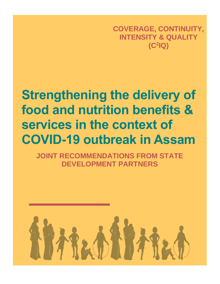**COVERAGE, CONTINUITY, INTENSITY & QUALITY (C<sup>2</sup> IQ)**

# **Strengthening the delivery of food and nutrition benefits & services in the context of COVID-19 outbreak in Assam**

**JOINT RECOMMENDATIONS FROM STATE DEVELOPMENT PARTNERS**

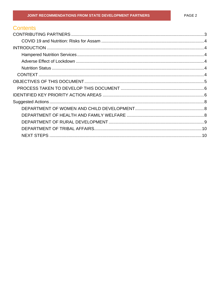### **Contents**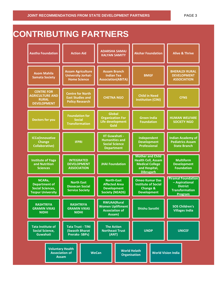## <span id="page-2-0"></span>**CONTRIBUTING PARTNERS**

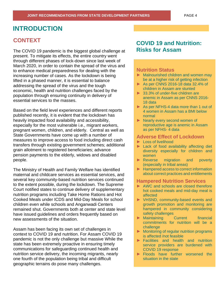### <span id="page-3-0"></span>**INTRODUCTION**

#### **CONTEXT**

The COVID 19 pandemic is the biggest global challenge at present. To mitigate its effects, the entire country went through different phases of lock-down since last week of March 2020, in order to contain the spread of the virus and to enhance medical preparedness for dealing with the increasing number of cases. As the lockdown is being lifted in a phased manner, it is essential to balance addressing the spread of the virus and the tough economic, health and nutrition challenges faced by the population through ensuring continuity in delivery of essential services to the masses.

Based on the field level experiences and different reports published recently, it is evident that the lockdown has heavily impacted food availability and accessibility, especially for the most vulnerable i.e., migrant workers, pregnant women, children, and elderly. Central as well as State Governments have come up with a number of measures to improve access to food including direct cash transfers through existing government schemes; additional grain allotment to registered beneficiaries; advance pension payments to the elderly, widows and disabled people.

The Ministry of Health and Family Welfare has identified maternal and childcare services as essential services, and several key community-based nutrition services continued to the extent possible, during the lockdown. The Supreme Court notified states to continue delivery of supplementary nutrition programs including Take Home Rations and Hot Cooked Meals under ICDS and Mid-Day Meals for school children even while schools and Anganwadi Centers remained shut. Governments both at center and state level have issued guidelines and orders frequently based on new assessments of the situation.

Assam has been facing its own set of challenges in context to COVID 19 and nutrition. For Assam COVID 19 pandemic is not the only challenge but massive While the state has been extremely proactive in ensuring timely communications for safeguarding continued health and nutrition service delivery, the incoming migrants, nearly one fourth of the population being tribal and difficult geographic terrains do pose many challenges.

#### **COVID 19 and Nutrition: Risks for Assam**

#### **Nutrition Status**

- ► Malnourished children and women may be at a higher risk of getting infection
- ► As per CNNS 2016-18 data 32.4% of children in Assam are stunted
- ► 33.3% of under-five children are anemic in Assam as per CNNS 2016- 18 data
- ► As per NFHS-4 data more than 1 out of 4 women in Assam has a BMI below normal
- ► Nearly every second women of reproductive age is anemic in Assam as per NFHS- 4 data

#### **Adverse Effect of Lockdown**

- ► Loss of livelihood
- ► Lack of food availability affecting diet diversity especially for children and women
- ► Reverse migration and poverty (especially in tribal areas)
- ► Hampered access to correct information about correct practices and entitlements

#### **Hampered Nutrition Services**

- ► AWC and schools are closed therefore hot cooked meals and mid-day meal is affected
- ► VHSND, community-based events and growth promotion and monitoring are hampered in community considering safety challenges
- ▶ Maintaining Current financial commitments for nutrition will be a challenge
- ► Monitoring of regular nutrition programs is affected /not feasible
- ► Facilities and health and nutrition service providers are burdened with COVID 19 response
- ► Floods have further worsened the situation in the state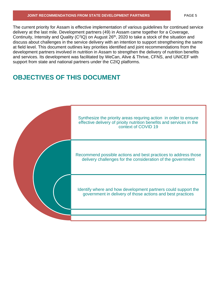#### **JOINT RECOMMENDATIONS FROM STATE DEVELOPMENT PARTNERS** PAGE 5

The current priority for Assam is effective implementation of various guidelines for continued service delivery at the last mile. Development partners (49) in Assam came together for a Coverage, Continuity, Intensity and Quality (C<sup>2</sup>IQ) on August 26<sup>th</sup>, 2020 to take a stock of the situation and discuss about challenges in the service delivery with an intention to support strengthening the same at field level. This document outlines key priorities identified and joint recommendations from the development partners involved in nutrition in Assam to strengthen the delivery of nutrition benefits and services. Its development was facilitated by WeCan, Alive & Thrive, CFNS, and UNICEF with support from state and national partners under the C2IQ platforms.

### <span id="page-4-0"></span>**OBJECTIVES OF THIS DOCUMENT**

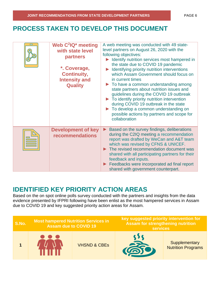<span id="page-5-0"></span>

| $\equiv$ | Web C <sup>2</sup> IQ <sup>*</sup> meeting<br>with state level<br>partners<br>*. Coverage,<br><b>Continuity,</b><br><b>Intensity and</b><br><b>Quality</b> | A web meeting was conducted with 49 state-<br>level partners on August 26, 2020 with the<br>following objectives:<br>Identify nutrition services most hampered in<br>the state due to COVID 19 pandemic<br>Identifying priority nutrition interventions<br>which Assam Government should focus on<br>in current times<br>$\triangleright$ To have a common understanding among<br>state partners about nutrition issues and<br>guidelines during the COVID 19 outbreak<br>$\blacktriangleright$ To identify priority nutrition intervention<br>during COVID 19 outbreak in the state<br>To develop a common understanding on<br>possible actions by partners and scope for<br>collaboration |
|----------|------------------------------------------------------------------------------------------------------------------------------------------------------------|---------------------------------------------------------------------------------------------------------------------------------------------------------------------------------------------------------------------------------------------------------------------------------------------------------------------------------------------------------------------------------------------------------------------------------------------------------------------------------------------------------------------------------------------------------------------------------------------------------------------------------------------------------------------------------------------|
|          | <b>Development of key</b><br><b>recommendations</b>                                                                                                        | Based on the survey findings, deliberations<br>$\blacktriangleright$<br>during the C2IQ meeting a recommendation<br>report was drafted by WeCan and A&T team<br>which was revised by CFNS & UNICEF.<br>The revised recommendation document was<br>shared with all participating partners for their<br>feedback and inputs.<br>Feedbacks were incorporated ad final report<br>shared with government counterpart.                                                                                                                                                                                                                                                                            |

### <span id="page-5-1"></span>**IDENTIFIED KEY PRIORITY ACTION AREAS**

Based on the on spot online polls survey conducted with the partners and insights from the data evidence presented by IFPRI following have been enlist as the most hampered services in Assam due to COVID 19 and key suggested priority action areas for Assam.

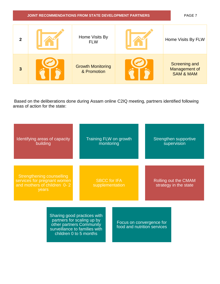#### **JOINT RECOMMENDATIONS FROM STATE DEVELOPMENT PARTNERS** PAGE 7

| $\mathbf{2}$ | Home Visits By<br><b>FLW</b>            | Home Visits By FLW                                                   |
|--------------|-----------------------------------------|----------------------------------------------------------------------|
| $\mathbf{3}$ | <b>Growth Monitoring</b><br>& Promotion | <b>Screening and</b><br><b>Management of</b><br><b>SAM &amp; MAM</b> |

Based on the deliberations done during Assam online C2IQ meeting, partners identified following areas of action for the state:

| Identifying areas of capacity<br>building                                                                                                        | Training FLW on growth<br>monitoring   | Strengthen supportive<br>supervision                    |
|--------------------------------------------------------------------------------------------------------------------------------------------------|----------------------------------------|---------------------------------------------------------|
| <b>Strengthening counselling</b><br>services for pregnant women<br>and mothers of children 0-2<br>years                                          | <b>SBCC for IFA</b><br>supplementation | Rolling out the CMAM<br>strategy in the state           |
| Sharing good practices with<br>partners for scaling up by<br>other partners Community<br>surveillance to families with<br>children 0 to 5 months |                                        | Focus on convergence for<br>food and nutrition services |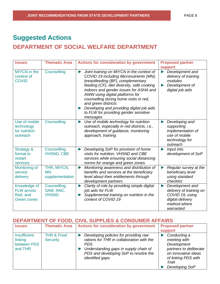### <span id="page-7-1"></span><span id="page-7-0"></span>**Suggested Actions DEPARTMENT OF SOCIAL WELFARE DEPARTMENT**

| <b>Issues</b>                                                       | <b>Thematic Area</b>                        | <b>Actions for consideration by government</b>                                                                                                                                                                                                                                                                                                                                                                                                        | <b>Proposed partner</b><br><b>support</b>                                                                                               |
|---------------------------------------------------------------------|---------------------------------------------|-------------------------------------------------------------------------------------------------------------------------------------------------------------------------------------------------------------------------------------------------------------------------------------------------------------------------------------------------------------------------------------------------------------------------------------------------------|-----------------------------------------------------------------------------------------------------------------------------------------|
| <b>MIYCN</b> in the<br>context of<br><b>COVID</b>                   | Counselling                                 | Joint training on MIYCN in the context of<br>▶<br>COVID 19 including Micronutrients (MN),<br>breastfeeding (BF), complementary<br>feeding (CF), diet diversity, safe cooking<br>indoors and gender issues for ASHA and<br>AWW using digital platforms for<br>counselling during home visits in red,<br>and green districts<br>Developing and providing digital job aids<br>$\blacktriangleright$<br>to FLW for providing gender sensitive<br>messages | Development and<br>$\blacktriangleright$<br>delivery of training<br>modules<br>Development of<br>digital job aids                       |
| Use of mobile<br>technology<br>for nutrition<br>outreach            | Counselling                                 | Use of mobile technology for nutrition<br>$\blacktriangleright$<br>outreach, especially in red districts, i.e.,<br>development of guidance, monitoring<br>approach, training                                                                                                                                                                                                                                                                          | Developing and<br>supporting<br>implementation of<br>use of mobile<br>technology for<br>outreach                                        |
| <b>Strategy &amp;</b><br>format to<br>restart<br>services           | Counselling,<br><b>VHSND, CBE</b>           | Developing SoP for provision of home<br>$\blacktriangleright$<br>visits for nutrition, VHSND and CBE<br>services while ensuring social distancing<br>norms for orange and green zones                                                                                                                                                                                                                                                                 | Input into<br>$\blacktriangleright$<br>development of SoP                                                                               |
| Monitoring of<br>service<br>delivery                                | THR, MIYCN,<br><b>MN</b><br>supplementation | Monitoring awareness and distribution of<br>$\blacktriangleright$<br>benefits and services at the beneficiary<br>level about their entitlements through<br>development partners                                                                                                                                                                                                                                                                       | Regular survey at the<br>$\blacktriangleright$<br>beneficiary level<br>using standard<br>checklist                                      |
| Knowledge of<br><b>FLW across</b><br>Red, and<br><b>Green zones</b> | Counselling,<br>SAM, ANC,<br><b>VHSND</b>   | Clarity of role by providing simple digital<br>$\blacktriangleright$<br>job aids for FLW<br>Supplemental training on nutrition in the<br>context of COVID 19                                                                                                                                                                                                                                                                                          | Development and<br>$\blacktriangleright$<br>delivery of training on<br>COVID 19, using<br>digital delivery<br>method where<br>warranted |

#### <span id="page-7-2"></span>**DEPARTMENT OF FOOD, CIVIL SUPPLIES & CONSUMER AFFAIRS**

| <b>Issues</b>                                     | <b>Thematic Area</b>                     | <b>Actions for consideration by government</b>                                                                                                                                                         | <b>Proposed partner</b>                                                                                                                      |
|---------------------------------------------------|------------------------------------------|--------------------------------------------------------------------------------------------------------------------------------------------------------------------------------------------------------|----------------------------------------------------------------------------------------------------------------------------------------------|
|                                                   |                                          |                                                                                                                                                                                                        | <b>support</b>                                                                                                                               |
| Insufficient<br>linking<br>between PDS<br>and THR | <b>THR &amp; Food</b><br><b>Security</b> | Developing policies for providing raw<br>rations for THR in collaboration with the<br>PDS.<br>Understanding gaps in supply chain of<br>PDS and developing SoP to resolve the<br><i>identified gaps</i> | Conducting a<br>meeting with<br>Development<br>partners to deliberate<br>on innovative ideas<br>of linking PDS with<br>THR<br>Developing SoP |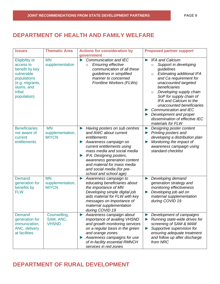### **DEPARTMENT OF HEALTH AND FAMILY WELFARE**

| <b>Issues</b>                                                                                                                               | <b>Thematic Area</b>                          | <b>Actions for consideration by</b><br>government                                                                                                                                                                                                                                                                                       | <b>Proposed partner support</b>                                                                                                                                                                                                                                                                                                                                                                                                         |
|---------------------------------------------------------------------------------------------------------------------------------------------|-----------------------------------------------|-----------------------------------------------------------------------------------------------------------------------------------------------------------------------------------------------------------------------------------------------------------------------------------------------------------------------------------------|-----------------------------------------------------------------------------------------------------------------------------------------------------------------------------------------------------------------------------------------------------------------------------------------------------------------------------------------------------------------------------------------------------------------------------------------|
| <b>Eligibility or</b><br>access to<br>benefit by key<br>vulnerable<br>populations<br>(e.g. migrants,<br>slums, and<br>tribal<br>population) | <b>MN</b><br>supplementation                  | $\triangleright$ Communication and IEC<br><b>Ensuring effective</b><br>$\circ$<br>communication of all these<br>guidelines in simplified<br>manner to concerned<br>Frontline Workers (FLWs)                                                                                                                                             | IFA and Calcium<br>$\blacktriangleright$<br>Support in developing<br>$\circ$<br>guidelines<br>Estimating additional IFA<br>$\circ$<br>and Ca requirement for<br>unaccounted targeted<br>beneficiaries<br>Developing supply chain<br>$\circ$<br>SoP for supply chain of<br>IFA and Calcium to the<br>unaccounted beneficiaries<br>Communication and IEC<br>Development and proper<br>dissemination of effective IEC<br>materials for FLW |
| <b>Beneficiaries</b><br>not aware of<br>current<br>entitlements                                                                             | <b>MN</b><br>supplementation,<br><b>MIYCN</b> | Having posters on sub centres<br>and AWC about current<br>entitlements<br>Awareness campaign on<br>$\blacktriangleright$<br>current entitlements using<br>mass media and social media<br>IFA: Designing posters,<br>awareness generation content<br>and material for mass media<br>and social media (for pre-<br>school and school age) | Designing poster content<br>▶<br>Printing posters and<br>▶<br>developing a distribution plan<br>Monitoring the impact of<br>awareness campaign using<br>standard checklist                                                                                                                                                                                                                                                              |
| <b>Demand</b><br>generation for<br>benefits by<br><b>FLW</b>                                                                                | <b>MN</b><br>supplementation,<br><b>MIYCN</b> | Awareness campaign to<br>$\blacktriangleright$<br>educating beneficiaries about<br>the importance of MN<br>Developing simple digital job<br>aids material for FLW with key<br>messages on importance of<br>maternal supplementation<br>during COVID 19                                                                                  | Developing demand<br>$\blacktriangleright$<br>generation strategy and<br>monitoring effectiveness<br>Developing job aid on<br>maternal supplementation<br>during COVID 19                                                                                                                                                                                                                                                               |
| <b>Demand</b><br>generation for<br>immunization,<br>ANC, delivery<br>at facilities                                                          | Counselling,<br>SAM, ANC,<br><b>VHSND</b>     | Awareness campaign about<br>importance of availing VHSND<br>and growth monitoring services<br>on a regular basis in the green<br>and orange zones<br>Awareness campaigns for use<br>of in-facility essential RMNCH<br>services in red zones                                                                                             | Development of campaigns<br>Running state-wide drives for<br>screening of SAM & MAM<br>Supportive supervision for<br>ensuring adequate treatment<br>and follow up after discharge<br>from NRC                                                                                                                                                                                                                                           |

### <span id="page-8-0"></span>**DEPARTMENT OF RURAL DEVELOPMENT**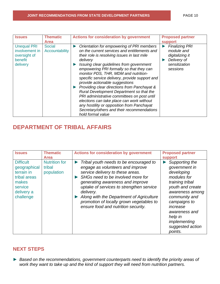| <b>Issues</b>                                                               | <b>Thematic</b><br><b>Area</b>  | <b>Actions for consideration by government</b>                                                                                                                                                                                                                                                                                                                                                                                                                                                                                                                                                                                                                                                              | <b>Proposed partner</b><br>support                                                                 |
|-----------------------------------------------------------------------------|---------------------------------|-------------------------------------------------------------------------------------------------------------------------------------------------------------------------------------------------------------------------------------------------------------------------------------------------------------------------------------------------------------------------------------------------------------------------------------------------------------------------------------------------------------------------------------------------------------------------------------------------------------------------------------------------------------------------------------------------------------|----------------------------------------------------------------------------------------------------|
| <b>Unequal PRI</b><br>involvement in<br>oversight of<br>benefit<br>delivery | <b>Social</b><br>Accountability | Orientation for empowering of PRI members<br>$\blacktriangleright$<br>on the current services and entitlements and<br>their role is resolving issues in last mile<br>delivery<br>Issuing clear guidelines from government<br>empowering PRI formally so that they can<br>monitor PDS, THR, MDM and nutrition-<br>specific service delivery, provide support and<br>provide actionable suggestions<br>▶ Providing clear directions from Panchayat &<br>Rural Development Department so that the<br>PRI administrative committees on post until<br>elections can take place can work without<br>any hostility or opposition from Panchayat<br>Secretary/others and their recommendations<br>hold formal value | <b>Finalizing PRI</b><br>module and<br>digitalizing it<br>Delivery of<br>sensitization<br>sessions |

### <span id="page-9-0"></span>**DEPARTMENT OF TRIBAL AFFAIRS**

| <b>Issues</b>                                                                                                 | <b>Thematic</b><br><b>Area</b>               | <b>Actions for consideration by government</b>                                                                                                                                                                                                                                                                                                                                                           | <b>Proposed partner</b><br>support                                                                                                                                                                                                             |
|---------------------------------------------------------------------------------------------------------------|----------------------------------------------|----------------------------------------------------------------------------------------------------------------------------------------------------------------------------------------------------------------------------------------------------------------------------------------------------------------------------------------------------------------------------------------------------------|------------------------------------------------------------------------------------------------------------------------------------------------------------------------------------------------------------------------------------------------|
| <b>Difficult</b><br>geographical<br>terrain in<br>tribal areas<br>makes<br>service<br>delivery a<br>challenge | <b>Nutrition for</b><br>tribal<br>population | Tribal youth needs to be encouraged to<br>$\blacktriangleright$<br>engage as volunteers and improve<br>service delivery to these areas.<br>SHGs need to be involved more for<br>generating awareness and improve<br>uptake of services to strengthen service<br>delivery.<br>Along with the Department of Agriculture<br>promotion of locally grown vegetables to<br>ensure food and nutrition security. | Supporting the<br>government in<br>developing<br>modules for<br>training tribal<br>youth and create<br>awareness among<br>community and<br>campaigns to<br>increase<br>awareness and<br>help in<br>implementing<br>suggested action<br>points. |

#### <span id="page-9-1"></span>**NEXT STEPS**

*► Based on the recommendations, government counterparts need to identify the priority areas of work they want to take up and the kind of support they will need from nutrition partners.*